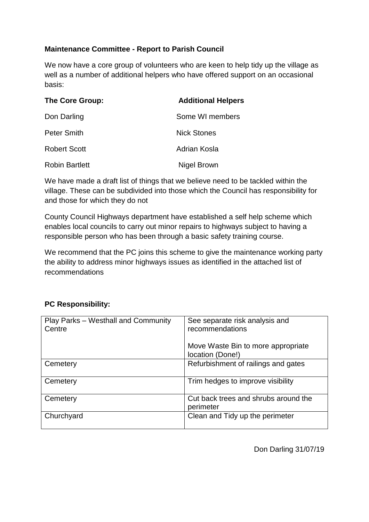## **Maintenance Committee - Report to Parish Council**

We now have a core group of volunteers who are keen to help tidy up the village as well as a number of additional helpers who have offered support on an occasional basis:

| The Core Group:       | <b>Additional Helpers</b> |
|-----------------------|---------------------------|
| Don Darling           | Some WI members           |
| <b>Peter Smith</b>    | <b>Nick Stones</b>        |
| <b>Robert Scott</b>   | Adrian Kosla              |
| <b>Robin Bartlett</b> | Nigel Brown               |

We have made a draft list of things that we believe need to be tackled within the village. These can be subdivided into those which the Council has responsibility for and those for which they do not

County Council Highways department have established a self help scheme which enables local councils to carry out minor repairs to highways subject to having a responsible person who has been through a basic safety training course.

We recommend that the PC joins this scheme to give the maintenance working party the ability to address minor highways issues as identified in the attached list of recommendations

## **PC Responsibility:**

| Play Parks - Westhall and Community<br>Centre | See separate risk analysis and<br>recommendations      |
|-----------------------------------------------|--------------------------------------------------------|
|                                               | Move Waste Bin to more appropriate<br>location (Done!) |
| Cemetery                                      | Refurbishment of railings and gates                    |
| Cemetery                                      | Trim hedges to improve visibility                      |
| Cemetery                                      | Cut back trees and shrubs around the<br>perimeter      |
| Churchyard                                    | Clean and Tidy up the perimeter                        |

Don Darling 31/07/19